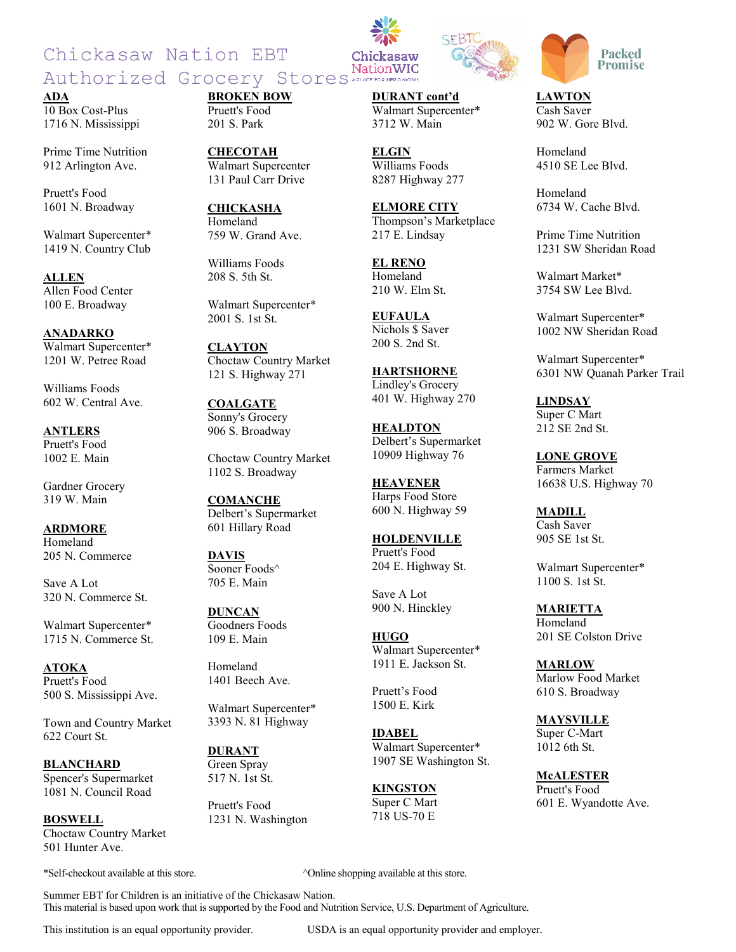## Chickasaw Nation EBT Authorized Grocery Stores APPACE FOR APIACE FOR HERO MONS

**ADA** 10 Box Cost-Plus 1716 N. Mississippi

Prime Time Nutrition 912 Arlington Ave.

Pruett's Food 1601 N. Broadway

Walmart Supercenter\* 1419 N. Country Club

**ALLEN** Allen Food Center 100 E. Broadway

**ANADARKO**  Walmart Supercenter\* 1201 W. Petree Road

Williams Foods 602 W. Central Ave.

**ANTLERS** Pruett's Food 1002 E. Main

Gardner Grocery 319 W. Main

## **ARDMORE**

Homeland 205 N. Commerce

Save A Lot 320 N. Commerce St.

Walmart Supercenter\* 1715 N. Commerce St.

**ATOKA** Pruett's Food 500 S. Mississippi Ave.

Town and Country Market 622 Court St.

**BLANCHARD** Spencer's Supermarket 1081 N. Council Road

**BOSWELL** Choctaw Country Market

501 Hunter Ave.

**BROKEN BOW** Pruett's Food 201 S. Park

**CHECOTAH** Walmart Supercenter 131 Paul Carr Drive

**CHICKASHA** Homeland 759 W. Grand Ave.

Williams Foods 208 S. 5th St.

Walmart Supercenter\* 2001 S. 1st St.

**CLAYTON** Choctaw Country Market 121 S. Highway 271

**COALGATE** Sonny's Grocery 906 S. Broadway

Choctaw Country Market 1102 S. Broadway

**COMANCHE** Delbert's Supermarket 601 Hillary Road

**DAVIS** Sooner Foods^ 705 E. Main

**DUNCAN** Goodners Foods 109 E. Main

Homeland 1401 Beech Ave.

Walmart Supercenter\* 3393 N. 81 Highway

**DURANT** Green Spray 517 N. 1st St.

Pruett's Food 1231 N. Washington **DURANT cont'd** Walmart Supercenter\* 3712 W. Main

**ELGIN** Williams Foods 8287 Highway 277

**ELMORE CITY** Thompson's Marketplace 217 E. Lindsay

**EL RENO** Homeland 210 W. Elm St.

**EUFAULA** Nichols \$ Saver 200 S. 2nd St.

**HARTSHORNE** Lindley's Grocery 401 W. Highway 270

**HEALDTON** Delbert's Supermarket 10909 Highway 76

**HEAVENER** Harps Food Store 600 N. Highway 59

**HOLDENVILLE** Pruett's Food 204 E. Highway St.

Save A Lot 900 N. Hinckley

**HUGO** Walmart Supercenter\* 1911 E. Jackson St.

Pruett's Food 1500 E. Kirk

**IDABEL** Walmart Supercenter\* 1907 SE Washington St.

**KINGSTON** Super C Mart 718 US-70 E

**Packed** Promise

**LAWTON** Cash Saver 902 W. Gore Blvd.

Homeland 4510 SE Lee Blvd.

Homeland 6734 W. Cache Blvd.

Prime Time Nutrition 1231 SW Sheridan Road

Walmart Market\* 3754 SW Lee Blvd.

Walmart Supercenter\* 1002 NW Sheridan Road

Walmart Supercenter\* 6301 NW Quanah Parker Trail

**LINDSAY** Super C Mart 212 SE 2nd St.

**LONE GROVE** Farmers Market 16638 U.S. Highway 70

**MADILL** Cash Saver 905 SE 1st St.

Walmart Supercenter\* 1100 S. 1st St.

**MARIETTA** Homeland 201 SE Colston Drive

**MARLOW** Marlow Food Market 610 S. Broadway

**MAYSVILLE** Super C-Mart

1012 6th St.

**McALESTER** Pruett's Food 601 E. Wyandotte Ave.

\*Self-checkout available at this store. ^Online shopping available at this store.

Summer EBT for Children is an initiative of the Chickasaw Nation. This material is based upon work that is supported by the Food and Nutrition Service, U.S. Department of Agriculture.

This institution is an equal opportunity provider. USDA is an equal opportunity provider and employer.